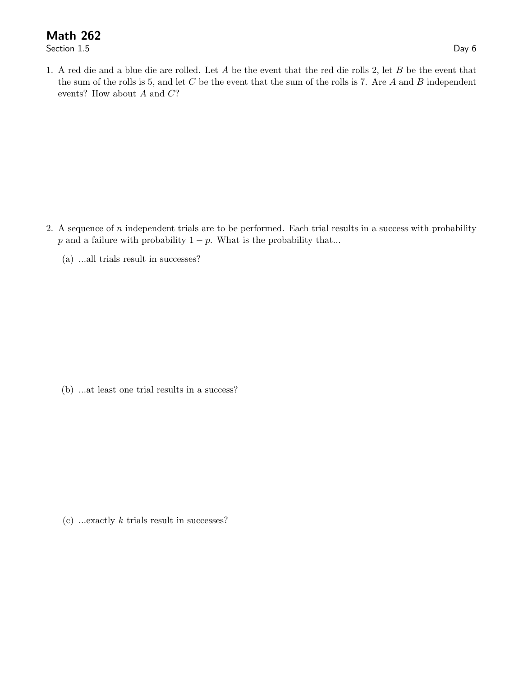## Math 262<br>Section 1.5

Section 1.5 Day 6

1. A red die and a blue die are rolled. Let A be the event that the red die rolls 2, let B be the event that the sum of the rolls is 5, and let  $C$  be the event that the sum of the rolls is 7. Are  $A$  and  $B$  independent events? How about  $A$  and  $C$ ?

- 2. A sequence of  $n$  independent trials are to be performed. Each trial results in a success with probability p and a failure with probability  $1 - p$ . What is the probability that...
	- (a) ...all trials result in successes?

(b) ...at least one trial results in a success?

(c) ...exactly  $k$  trials result in successes?